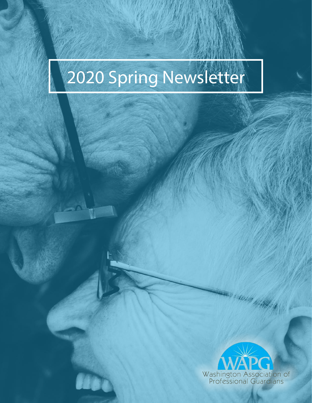# 2020 Spring Newsletter

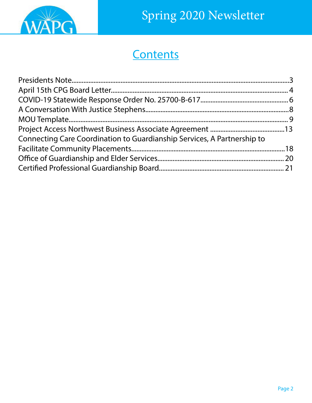

### **Contents**

| Connecting Care Coordination to Guardianship Services, A Partnership to |  |
|-------------------------------------------------------------------------|--|
|                                                                         |  |
|                                                                         |  |
|                                                                         |  |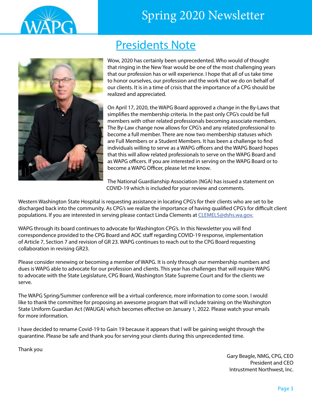<span id="page-2-0"></span>



### Presidents Note

Wow, 2020 has certainly been unprecedented. Who would of thought that ringing in the New Year would be one of the most challenging years that our profession has or will experience. I hope that all of us take time to honor ourselves, our profession and the work that we do on behalf of our clients. It is in a time of crisis that the importance of a CPG should be realized and appreciated.

On April 17, 2020, the WAPG Board approved a change in the By-Laws that simplifies the membership criteria. In the past only CPG's could be full members with other related professionals becoming associate members. The By-Law change now allows for CPG's and any related professional to become a full member. There are now two membership statuses which are Full Members or a Student Members. It has been a challenge to find individuals willing to serve as a WAPG officers and the WAPG Board hopes that this will allow related professionals to serve on the WAPG Board and as WAPG officers. If you are interested in serving on the WAPG Board or to become a WAPG Officer, please let me know.

The National Guardianship Association (NGA) has issued a statement on COVID-19 which is included for your review and comments.

Western Washington State Hospital is requesting assistance in locating CPG's for their clients who are set to be discharged back into the community. As CPG's we realize the importance of having qualified CPG's for difficult client populations. If you are interested in serving please contact Linda Clements at [CLEMELS@dshs.wa.gov.](CLEMELS@dshs.wa.gov)

WAPG through its board continues to advocate for Washington CPG's. In this Newsletter you will find correspondence provided to the CPG Board and AOC staff regarding COVID-19 response, implementation of Article 7, Section 7 and revision of GR 23. WAPG continues to reach out to the CPG Board requesting collaboration in revising GR23.

Please consider renewing or becoming a member of WAPG. It is only through our membership numbers and dues is WAPG able to advocate for our profession and clients. This year has challenges that will require WAPG to advocate with the State Legislature, CPG Board, Washington State Supreme Court and for the clients we serve.

The WAPG Spring/Summer conference will be a virtual conference, more information to come soon. I would like to thank the committee for proposing an awesome program that will include training on the Washington State Uniform Guardian Act (WAUGA) which becomes effective on January 1, 2022. Please watch your emails for more information.

I have decided to rename Covid-19 to Gain 19 because it appears that I will be gaining weight through the quarantine. Please be safe and thank you for serving your clients during this unprecedented time.

Thank you

Gary Beagle, NMG, CPG, CEO President and CEO Intrustment Northwest, Inc.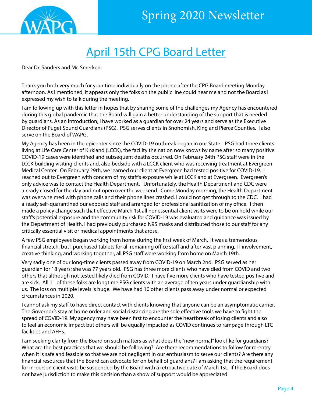<span id="page-3-0"></span>

### April 15th CPG Board Letter

Dear Dr. Sanders and Mr. Smerken:

Thank you both very much for your time individually on the phone after the CPG Board meeting Monday afternoon. As I mentioned, it appears only the folks on the public line could hear me and not the Board as I expressed my wish to talk during the meeting.

I am following up with this letter in hopes that by sharing some of the challenges my Agency has encountered during this global pandemic that the Board will gain a better understanding of the support that is needed by guardians. As an introduction, I have worked as a guardian for over 24 years and serve as the Executive Director of Puget Sound Guardians (PSG). PSG serves clients in Snohomish, King and Pierce Counties. I also serve on the Board of WAPG.

My Agency has been in the epicenter since the COVID-19 outbreak began in our State. PSG had three clients living at Life Care Center of Kirkland (LCCK), the facility the nation now knows by name after so many positive COVID-19 cases were identified and subsequent deaths occurred. On February 24th PSG staff were in the LCCK building visiting clients and, also bedside with a LCCK client who was receiving treatment at Evergreen Medical Center. On February 29th, we learned our client at Evergreen had tested positive for COVID-19. I reached out to Evergreen with concern of my staff's exposure while at LCCK and at Evergreen. Evergreen's only advice was to contact the Health Department. Unfortunately, the Health Department and CDC were already closed for the day and not open over the weekend. Come Monday morning, the Health Department was overwhelmed with phone calls and their phone lines crashed. I could not get through to the CDC. I had already self-quarantined our exposed staff and arranged for professional sanitization of my office. I then made a policy change such that effective March 1st all nonessential client visits were to be on hold while our staff's potential exposure and the community risk for COVID-19 was evaluated and guidance was issued by the Department of Health. I had previously purchased N95 masks and distributed those to our staff for any critically essential visit or medical appointments that arose.

A few PSG employees began working from home during the first week of March. It was a tremendous financial stretch, but I purchased tablets for all remaining office staff and after vast planning, IT involvement, creative thinking, and working together, all PSG staff were working from home on March 19th.

Very sadly one of our long-time clients passed away from COVID-19 on March 2nd. PSG served as her guardian for 18 years; she was 77 years old. PSG has three more clients who have died from COVID and two others that although not tested likely died from COVID. I have five more clients who have tested positive and are sick. All 11 of these folks are longtime PSG clients with an average of ten years under guardianship with us. The loss on multiple levels is huge. We have had 10 other clients pass away under normal or expected circumstances in 2020.

I cannot ask my staff to have direct contact with clients knowing that anyone can be an asymptomatic carrier. The Governor's stay at home order and social distancing are the sole effective tools we have to fight the spread of COVID-19. My agency may have been first to encounter the heartbreak of losing clients and also to feel an economic impact but others will be equally impacted as COVID continues to rampage through LTC facilities and AFHs.

I am seeking clarity from the Board on such matters as what does the "new normal" look like for guardians? What are the best practices that we should be following? Are there recommendations to follow for re-entry when it is safe and feasible so that we are not negligent in our enthusiasm to serve our clients? Are there any financial resources that the Board can advocate for on behalf of guardians? I am asking that the requirement for in-person client visits be suspended by the Board with a retroactive date of March 1st. If the Board does not have jurisdiction to make this decision than a show of support would be appreciated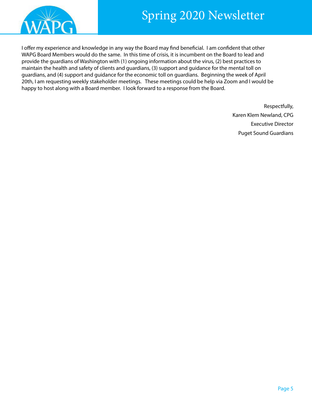



I offer my experience and knowledge in any way the Board may find beneficial. I am confident that other WAPG Board Members would do the same. In this time of crisis, it is incumbent on the Board to lead and provide the guardians of Washington with (1) ongoing information about the virus, (2) best practices to maintain the health and safety of clients and guardians, (3) support and guidance for the mental toll on guardians, and (4) support and guidance for the economic toll on guardians. Beginning the week of April 20th, I am requesting weekly stakeholder meetings. These meetings could be help via Zoom and I would be happy to host along with a Board member. I look forward to a response from the Board.

> Respectfully, Karen Klem Newland, CPG Executive Director Puget Sound Guardians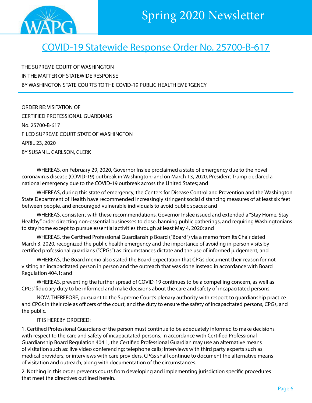<span id="page-5-0"></span>

### COVID-19 Statewide Response Order No. 25700-B-617

THE SUPREME COURT OF WASHINGTON IN THE MATTER OF STATEWIDE RESPONSE BY WASHINGTON STATE COURTS TO THE COVID-19 PUBLIC HEALTH EMERGENCY

ORDER RE: VISITATION OF CERTIFIED PROFESSIONAL GUARDIANS No. 25700-B-617 FILED SUPREME COURT STATE OF WASHINGTON APRIL 23, 2020 BY SUSAN L. CARLSON, CLERK

WHEREAS, on February 29, 2020, Governor Inslee proclaimed a state of emergency due to the novel coronavirus disease (COVID-19) outbreak in Washington; and on March 13, 2020, President Trump declared a national emergency due to the COVID-19 outbreak across the United States; and

WHEREAS, during this state of emergency, the Centers for Disease Control and Prevention and the Washington State Department of Health have recommended increasingly stringent social distancing measures of at least six feet between people, and encouraged vulnerable individuals to avoid public spaces; and

WHEREAS, consistent with these recommendations, Governor Inslee issued and extended a "Stay Home, Stay Healthy" order directing non-essential businesses to close, banning public gatherings, and requiring Washingtonians to stay home except to pursue essential activities through at least May 4, 2020; and

WHEREAS, the Certified Professional Guardianship Board ("Board") via a memo from its Chair dated March 3, 2020, recognized the public health emergency and the importance of avoiding in-person visits by certified professional guardians ("CPGs") as circumstances dictate and the use of informed judgement; and

WHEREAS, the Board memo also stated the Board expectation that CPGs document their reason for not visiting an incapacitated person in person and the outreach that was done instead in accordance with Board Regulation 404.1; and

WHEREAS, preventing the further spread of COVID-19 continues to be a compelling concern, as well as CPGs' fiduciary duty to be informed and make decisions about the care and safety of incapacitated persons.

NOW, THEREFORE, pursuant to the Supreme Court's plenary authority with respect to guardianship practice and CPGs in their role as officers of the court, and the duty to ensure the safety of incapacitated persons, CPGs, and the public.

#### IT IS HEREBY ORDERED:

1. Certified Professional Guardians of the person must continue to be adequately informed to make decisions with respect to the care and safety of incapacitated persons. In accordance with Certified Professional Guardianship Board Regulation 404.1, the Certified Professional Guardian may use an alternative means of visitation such as: live video conferencing; telephone calls; interviews with third party experts such as medical providers; or interviews with care providers. CPGs shall continue to document the alternative means of visitation and outreach, along with documentation of the circumstances.

2. Nothing in this order prevents courts from developing and implementing jurisdiction specific procedures that meet the directives outlined herein.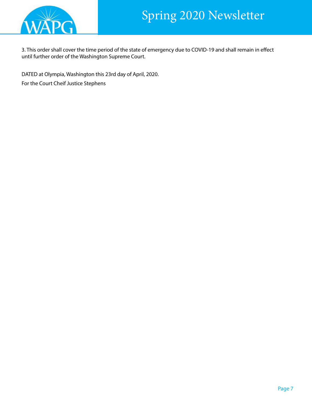

3. This order shall cover the time period of the state of emergency due to COVID-19 and shall remain in effect until further order of the Washington Supreme Court.

DATED at Olympia, Washington this 23rd day of April, 2020. For the Court Cheif Justice Stephens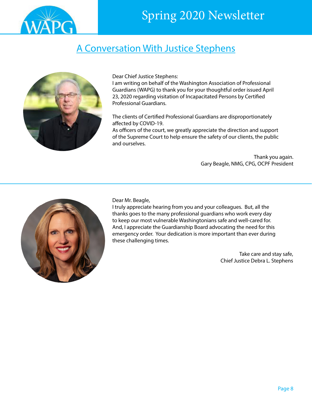<span id="page-7-0"></span>

### A Conversation With Justice Stephens



Dear Chief Justice Stephens:

I am writing on behalf of the Washington Association of Professional Guardians (WAPG) to thank you for your thoughtful order issued April 23, 2020 regarding visitation of Incapacitated Persons by Certified Professional Guardians.

The clients of Certified Professional Guardians are disproportionately affected by COVID-19.

As officers of the court, we greatly appreciate the direction and support of the Supreme Court to help ensure the safety of our clients, the public and ourselves.

> Thank you again. Gary Beagle, NMG, CPG, OCPF President



Dear Mr. Beagle,

I truly appreciate hearing from you and your colleagues. But, all the thanks goes to the many professional guardians who work every day to keep our most vulnerable Washingtonians safe and well-cared for. And, I appreciate the Guardianship Board advocating the need for this emergency order. Your dedication is more important than ever during these challenging times.

> Take care and stay safe, Chief Justice Debra L. Stephens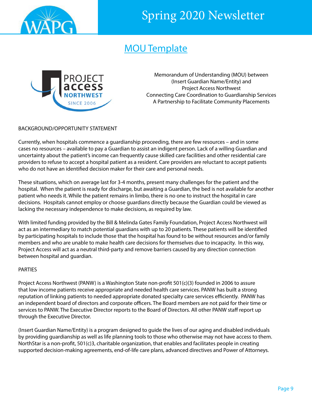<span id="page-8-0"></span>

### MOU Template



Memorandum of Understanding (MOU) between (Insert Guardian Name/Entity) and Project Access Northwest Connecting Care Coordination to Guardianship Services A Partnership to Facilitate Community Placements

#### BACKGROUND/OPPORTUNITY STATEMENT

Currently, when hospitals commence a guardianship proceeding, there are few resources – and in some cases no resources – available to pay a Guardian to assist an indigent person. Lack of a willing Guardian and uncertainty about the patient's income can frequently cause skilled care facilities and other residential care providers to refuse to accept a hospital patient as a resident. Care providers are reluctant to accept patients who do not have an identified decision maker for their care and personal needs.

These situations, which on average last for 3-4 months, present many challenges for the patient and the hospital. When the patient is ready for discharge, but awaiting a Guardian, the bed is not available for another patient who needs it. While the patient remains in limbo, there is no one to instruct the hospital in care decisions. Hospitals cannot employ or choose guardians directly because the Guardian could be viewed as lacking the necessary independence to make decisions, as required by law.

With limited funding provided by the Bill & Melinda Gates Family Foundation, Project Access Northwest will act as an intermediary to match potential guardians with up to 20 patients. These patients will be identified by participating hospitals to include those that the hospital has found to be without resources and/or family members and who are unable to make health care decisions for themselves due to incapacity. In this way, Project Access will act as a neutral third-party and remove barriers caused by any direction connection between hospital and guardian.

#### PARTIES

Project Access Northwest (PANW) is a Washington State non-profit 501(c)(3) founded in 2006 to assure that low income patients receive appropriate and needed health care services. PANW has built a strong reputation of linking patients to needed appropriate donated specialty care services efficiently. PANW has an independent board of directors and corporate officers. The Board members are not paid for their time or services to PANW. The Executive Director reports to the Board of Directors. All other PANW staff report up through the Executive Director.

(Insert Guardian Name/Entity) is a program designed to guide the lives of our aging and disabled individuals by providing guardianship as well as life planning tools to those who otherwise may not have access to them. NorthStar is a non-profit, 501(c)3, charitable organization, that enables and facilitates people in creating supported decision-making agreements, end-of-life care plans, advanced directives and Power of Attorneys.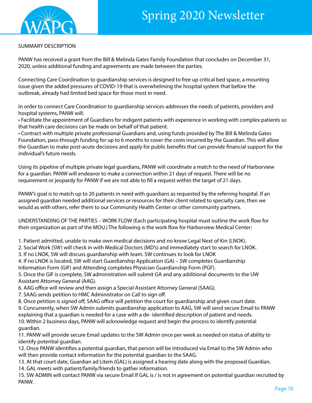

#### SUMMARY DESCRIPTION

PANW has received a grant from the Bill & Melinda Gates Family Foundation that concludes on December 31, 2020, unless additional funding and agreements are made between the parties.

Connecting Care Coordination to guardianship services is designed to free up critical bed space, a mounting issue given the added pressures of COVID-19 that is overwhelming the hospital system that before the outbreak, already had limited bed space for those most in need.

In order to connect Care Coordination to guardianship services addresses the needs of patients, providers and hospital systems, PANW will:

• Facilitate the appointment of Guardians for indigent patients with experience in working with complex patients so that health care decisions can be made on behalf of that patient.

• Contract with multiple private professional Guardians and, using funds provided by The Bill & Melinda Gates Foundation, pass-through funding for up to 6 months to cover the costs incurred by the Guardian. This will allow the Guardian to make post-acute decisions and apply for public benefits that can provide financial support for the individual's future needs.

Using its pipeline of multiple private legal guardians, PANW will coordinate a match to the need of Harborview for a guardian. PANW will endeavor to make a connection within 21 days of request. There will be no requirement or jeopardy for PANW if we are not able to fill a request within the target of 21 days.

PANW's goal is to match up to 20 patients in need with guardians as requested by the referring hospital. If an assigned guardian needed additional services or resources for their client related to specialty care, then we would as with others, refer them to our Community Health Center or other community partners.

UNDERSTANDING OF THE PARTIES – WORK FLOW (Each participating hospital must outline the work flow for their organization as part of the MOU.) The following is the work flow for Harborview Medical Center:

1. Patient admitted, unable to make own medical decisions and no know Legal Next of Kin (LNOK).

2. Social Work (SW) will check in with Medical Doctors (MD's) and immediately start to search for LNOK.

3. If no LNOK, SW will discuss guardianship with team. SW continues to look for LNOK

4. If no LNOK is located, SW will start Guardianship Application (GA) – SW completes Guardianship Information Form (GIF) and Attending completes Physician Guardianship Form (PGF).

5. Once the GIF is complete, SW administration will submit GA and any additional documents to the UW Assistant Attorney General (AAG).

6. AAG office will review and then assign a Special Assistant Attorney General (SAAG).

7. SAAG sends petition to HMC Administrator on Call to sign off.

8. Once petition is signed off, SAAG office will petition the court for guardianship and given court date. 9. Concurrently, when SW Admin submits guardianship application to AAG, SW will send secure Email to PANW explaining that a guardian is needed for a case with a de- identified description of patient and needs. 10. Within 2 business days, PANW will acknowledge request and begin the process to identify potential guardian.

11. PANW will provide secure Email updates to the SW Admin once per week as needed on status of ability to identify potential guardian.

12. Once PANW identifies a potential guardian, that person will be introduced via Email to the SW Admin who will then provide contact information for the potential guardian to the SAAG.

13. At that court date, Guardian ad Litem (GAL) is assigned a hearing date along with the proposed Guardian. 14. GAL meets with patient/family/friends to gather information.

15. SW ADMIN will contact PANW via secure Email If GAL is / is not in agreement on potential guardian recruited by PANW.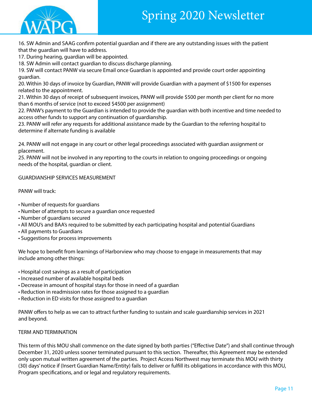

16. SW Admin and SAAG confirm potential guardian and if there are any outstanding issues with the patient that the guardian will have to address.

17. During hearing, guardian will be appointed.

18. SW Admin will contact guardian to discuss discharge planning.

19. SW will contact PANW via secure Email once Guardian is appointed and provide court order appointing guardian.

20. Within 30 days of invoice by Guardian, PANW will provide Guardian with a payment of \$1500 for expenses related to the appointment.

21. Within 30 days of receipt of subsequent invoices, PANW will provide \$500 per month per client for no more than 6 months of service (not to exceed \$4500 per assignment)

22. PANW's payment to the Guardian is intended to provide the guardian with both incentive and time needed to access other funds to support any continuation of guardianship.

23. PANW will refer any requests for additional assistance made by the Guardian to the referring hospital to determine if alternate funding is available

24. PANW will not engage in any court or other legal proceedings associated with guardian assignment or placement.

25. PANW will not be involved in any reporting to the courts in relation to ongoing proceedings or ongoing needs of the hospital, guardian or client.

GUARDIANSHIP SERVICES MEASUREMENT

PANW will track:

- Number of requests for guardians
- Number of attempts to secure a guardian once requested
- Number of guardians secured
- All MOU's and BAA's required to be submitted by each participating hospital and potential Guardians
- All payments to Guardians
- Suggestions for process improvements

We hope to benefit from learnings of Harborview who may choose to engage in measurements that may include among other things:

- Hospital cost savings as a result of participation
- Increased number of available hospital beds
- Decrease in amount of hospital stays for those in need of a guardian
- Reduction in readmission rates for those assigned to a guardian
- Reduction in ED visits for those assigned to a guardian

PANW offers to help as we can to attract further funding to sustain and scale guardianship services in 2021 and beyond.

#### TERM AND TERMINATION

This term of this MOU shall commence on the date signed by both parties ("Effective Date") and shall continue through December 31, 2020 unless sooner terminated pursuant to this section. Thereafter, this Agreement may be extended only upon mutual written agreement of the parties. Project Access Northwest may terminate this MOU with thirty (30) days' notice if (Insert Guardian Name/Entity) fails to deliver or fulfill its obligations in accordance with this MOU, Program specifications, and or legal and regulatory requirements.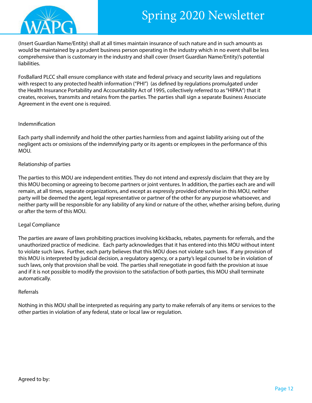

(Insert Guardian Name/Entity) shall at all times maintain insurance of such nature and in such amounts as would be maintained by a prudent business person operating in the industry which in no event shall be less comprehensive than is customary in the industry and shall cover (Insert Guardian Name/Entity)'s potential liabilities.

FosBallard PLCC shall ensure compliance with state and federal privacy and security laws and regulations with respect to any protected health information ("PHI") (as defined by regulations promulgated under the Health Insurance Portability and Accountability Act of 1995, collectively referred to as "HIPAA") that it creates, receives, transmits and retains from the parties. The parties shall sign a separate Business Associate Agreement in the event one is required.

#### Indemnification

Each party shall indemnify and hold the other parties harmless from and against liability arising out of the negligent acts or omissions of the indemnifying party or its agents or employees in the performance of this MOU.

#### Relationship of parties

The parties to this MOU are independent entities. They do not intend and expressly disclaim that they are by this MOU becoming or agreeing to become partners or joint ventures. ln addition, the parties each are and will remain, at all times, separate organizations, and except as expressly provided otherwise in this MOU, neither party will be deemed the agent, legal representative or partner of the other for any purpose whatsoever, and neither party will be responsible for any liability of any kind or nature of the other, whether arising before, during or after the term of this MOU.

#### Legal Compliance

The parties are aware of laws prohibiting practices involving kickbacks, rebates, payments for referrals, and the unauthorized practice of medicine. Each party acknowledges that it has entered into this MOU without intent to violate such laws. Further, each party believes that this MOU does not violate such laws. If any provision of this MOU is interpreted by judicial decision, a regulatory agency, or a party's legal counsel to be in violation of such laws, only that provision shall be void. The parties shall renegotiate in good faith the provision at issue and if it is not possible to modify the provision to the satisfaction of both parties, this MOU shall terminate automatically.

#### Referrals

Nothing in this MOU shall be interpreted as requiring any party to make referrals of any items or services to the other parties in violation of any federal, state or local law or regulation.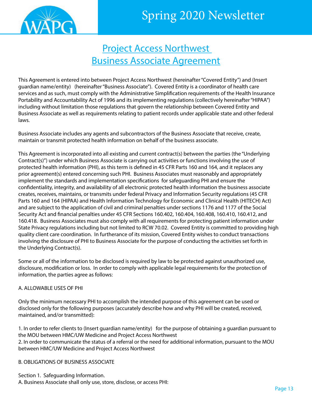<span id="page-12-0"></span>

### Project Access Northwest Business Associate Agreement

This Agreement is entered into between Project Access Northwest (hereinafter "Covered Entity") and (Insert guardian name/entity) (hereinafter "Business Associate"). Covered Entity is a coordinator of health care services and as such, must comply with the Administrative Simplification requirements of the Health Insurance Portability and Accountability Act of 1996 and its implementing regulations (collectively hereinafter "HIPAA") including without limitation those regulations that govern the relationship between Covered Entity and Business Associate as well as requirements relating to patient records under applicable state and other federal laws.

Business Associate includes any agents and subcontractors of the Business Associate that receive, create, maintain or transmit protected health information on behalf of the business associate.

This Agreement is incorporated into all existing and current contract(s) between the parties (the "Underlying Contract(s)") under which Business Associate is carrying out activities or functions involving the use of protected health information (PHI), as this term is defined in 45 CFR Parts 160 and 164, and it replaces any prior agreement(s) entered concerning such PHI. Business Associates must reasonably and appropriately implement the standards and implementation specifications for safeguarding PHI and ensure the confidentiality, integrity, and availability of all electronic protected health information the business associate creates, receives, maintains, or transmits under federal Privacy and Information Security regulations (45 CFR Parts 160 and 164 (HIPAA) and Health Information Technology for Economic and Clinical Health (HITECH) Act) and are subject to the application of civil and criminal penalties under sections 1176 and 1177 of the Social Security Act and financial penalties under 45 CFR Sections 160.402, 160.404, 160.408, 160.410, 160.412, and 160.418. Business Associates must also comply with all requirements for protecting patient information under State Privacy regulations including but not limited to RCW 70.02. Covered Entity is committed to providing high quality client care coordination. In furtherance of its mission, Covered Entity wishes to conduct transactions involving the disclosure of PHI to Business Associate for the purpose of conducting the activities set forth in the Underlying Contract(s).

Some or all of the information to be disclosed is required by law to be protected against unauthorized use, disclosure, modification or loss. In order to comply with applicable legal requirements for the protection of information, the parties agree as follows:

#### A. ALLOWABLE USES OF PHI

Only the minimum necessary PHI to accomplish the intended purpose of this agreement can be used or disclosed only for the following purposes (accurately describe how and why PHI will be created, received, maintained, and/or transmitted):

1. In order to refer clients to (Insert guardian name/entity) for the purpose of obtaining a guardian pursuant to the MOU between HMC/UW Medicine and Project Access Northwest 2. In order to communicate the status of a referral or the need for additional information, pursuant to the MOU between HMC/UW Medicine and Project Access Northwest

#### B. OBLIGATIONS OF BUSINESS ASSOCIATE

Section 1. Safeguarding Information. A. Business Associate shall only use, store, disclose, or access PHI: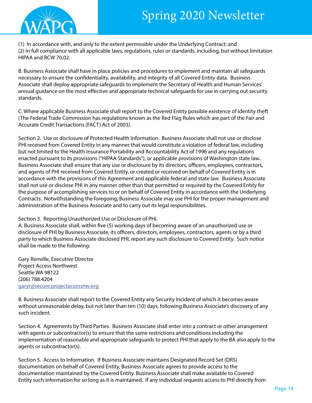

(1) In accordance with, and only to the extent permissible under the Underlying Contract; and (2) In full compliance with all applicable laws, regulations, rules or standards, including, but without limitation HIPAA and RCW 70.02.

B. Business Associate shall have in place policies and procedures to implement and maintain all safeguards necessary to ensure the confidentiality, availability, and integrity of all Covered Entity data. Business Associate shall deploy appropriate safeguards to implement the Secretary of Health and Human Services' annual guidance on the most effective and appropriate technical safeguards for use in carrying out security standards.

C. Where applicable Business Associate shall report to the Covered Entity possible existence of identity theft (The Federal Trade Commission has regulations known as the Red Flag Rules which are part of the Fair and Accurate Credit Transactions (FACT) Act of 2003).

Section 2. Use or disclosure of Protected Health Information. Business Associate shall not use or disclose PHI received from Covered Entity in any manner that would constitute a violation of federal law, including but not limited to the Health Insurance Portability and Accountability Act of 1996 and any regulations enacted pursuant to its provisions ("HIPAA Standards"), or applicable provisions of Washington state law.. Business Associate shall ensure that any use or disclosure by its directors, officers, employees, contractors, and agents of PHI received from Covered Entity, or created or received on behalf of Covered Entity is in accordance with the provisions of this Agreement and applicable federal and state law. Business Associate shall not use or disclose PHI in any manner other than that permitted or required by the Covered Entity for the purpose of accomplishing services to or on behalf of Covered Entity in accordance with the Underlying Contracts. Notwithstanding the foregoing, Business Associate may use PHI for the proper management and administration of the Business Associate and to carry out its legal responsibilities.

#### Section 3. Reporting Unauthorized Use or Disclosure of PHI.

A. Business Associate shall, within five (5) working days of becoming aware of an unauthorized use or disclosure of PHI by Business Associate, its officers, directors, employees, contractors, agents or by a third party to which Business Associate disclosed PHI, report any such disclosure to Covered Entity. Such notice shall be made to the following:

Gary Renville, Executive Director Project Access Northwest Seattle WA 98122 (206) 788.4204 <garyr@secure.projectaccessnw.org>

B. Business Associate shall report to the Covered Entity any Security Incident of which it becomes aware without unreasonable delay, but not later than ten (10) days, following Business Associate's discovery of any such incident.

Section 4. Agreements by Third Parties. Business Associate shall enter into a contract or other arrangement with agents or subcontractor(s) to ensure that the same restrictions and conditions including the implementation of reasonable and appropriate safeguards to protect PHI that apply to the BA also apply to the agents or subcontractor(s).

Section 5. Access to Information. If Business Associate maintains Designated Record Set (DRS) documentation on behalf of Covered Entity, Business Associate agrees to provide access to the documentation maintained by the Covered Entity. Business Associate shall make available to Covered Entity such information for so long as it is maintained. If any individual requests access to PHI directly from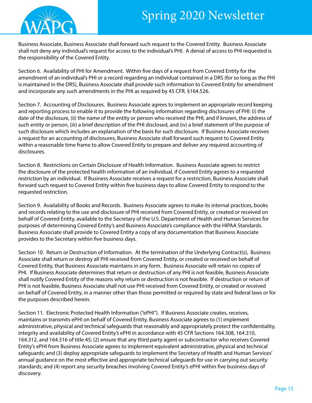

Business Associate, Business Associate shall forward such request to the Covered Entity. Business Associate shall not deny any individual's request for access to the individual's PHI. A denial of access to PHI requested is the responsibility of the Covered Entity.

Section 6. Availability of PHI for Amendment. Within five days of a request from Covered Entity for the amendment of an individual's PHI or a record regarding an individual contained in a DRS (for so long as the PHI is maintained in the DRS), Business Associate shall provide such information to Covered Entity for amendment and incorporate any such amendments in the PHI as required by 45 CFR. §164.526.

Section 7. Accounting of Disclosures. Business Associate agrees to implement an appropriate record keeping and reporting process to enable it to provide the following information regarding disclosures of PHI: (i) the date of the disclosure, (ii) the name of the entity or person who received the PHI, and if known, the address of such entity or person, (iii) a brief description of the PHI disclosed, and (iv) a brief statement of the purpose of such disclosure which includes an explanation of the basis for such disclosure. If Business Associate receives a request for an accounting of disclosures, Business Associate shall forward such request to Covered Entity within a reasonable time frame to allow Covered Entity to prepare and deliver any required accounting of disclosures.

Section 8. Restrictions on Certain Disclosure of Health Information. Business Associate agrees to restrict the disclosure of the protected health information of an individual, if Covered Entity agrees to a requested restriction by an individual. If Business Associate receives a request for a restriction, Business Associate shall forward such request to Covered Entity within five business days to allow Covered Entity to respond to the requested restriction.

Section 9. Availability of Books and Records. Business Associate agrees to make its internal practices, books and records relating to the use and disclosure of PHI received from Covered Entity, or created or received on behalf of Covered Entity, available to the Secretary of the U.S. Department of Health and Human Services for purposes of determining Covered Entity's and Business Associate's compliance with the HIPAA Standards. Business Associate shall provide to Covered Entity a copy of any documentation that Business Associate provides to the Secretary within five business days.

Section 10. Return or Destruction of Information. At the termination of the Underlying Contract(s), Business Associate shall return or destroy all PHI received from Covered Entity, or created or received on behalf of Covered Entity, that Business Associate maintains in any form. Business Associate will retain no copies of PHI. If Business Associate determines that return or destruction of any PHI is not feasible, Business Associate shall notify Covered Entity of the reasons why return or destruction is not feasible. If destruction or return of PHI is not feasible, Business Associate shall not use PHI received from Covered Entity, or created or received on behalf of Covered Entity, in a manner other than those permitted or required by state and federal laws or for the purposes described herein.

Section 11. Electronic Protected Health Information ("ePHI"). If Business Associate creates, receives, maintains or transmits ePHI on behalf of Covered Entity, Business Associate agrees to (1) implement administrative, physical and technical safeguards that reasonably and appropriately protect the confidentiality, integrity and availability of Covered Entity's ePHI in accordance with 45 CFR Sections 164.308, 164.310, 164.312, and 164.316 of title 45; (2) ensure that any third party agent or subcontractor who receives Covered Entity's ePHI from Business Associate agrees to implement equivalent administrative, physical and technical safeguards; and (3) deploy appropriate safeguards to implement the Secretary of Health and Human Services' annual guidance on the most effective and appropriate technical safeguards for use in carrying out security standards; and (4) report any security breaches involving Covered Entity's ePHI within five business days of discovery.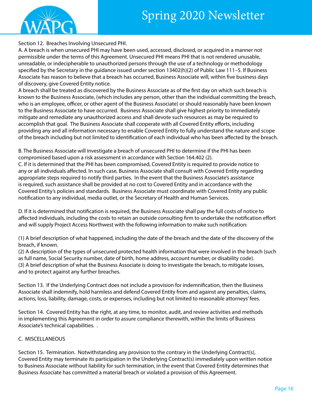

Section 12. Breaches Involving Unsecured PHI.

A. A breach is when unsecured PHI may have been used, accessed, disclosed, or acquired in a manner not permissible under the terms of this Agreement. Unsecured PHI means PHI that is not rendered unusable, unreadable, or indecipherable to unauthorized persons through the use of a technology or methodology specified by the Secretary in the guidance issued under section 13402(h)(2) of Public Law 111–5. If Business Associate has reason to believe that a breach has occurred, Business Associate will, within five business days of discovery, give Covered Entity notice.

A breach shall be treated as discovered by the Business Associate as of the first day on which such breach is known to the Business Associate, (which includes any person, other than the individual committing the breach, who is an employee, officer, or other agent of the Business Associate) or should reasonably have been known to the Business Associate to have occurred. Business Associate shall give highest priority to immediately mitigate and remediate any unauthorized access and shall devote such resources as may be required to accomplish that goal. The Business Associate shall cooperate with all Covered Entity efforts, including providing any and all information necessary to enable Covered Entity to fully understand the nature and scope of the breach including but not limited to identification of each individual who has been affected by the breach.

B. The Business Associate will investigate a breach of unsecured PHI to determine if the PHI has been compromised based upon a risk assessment in accordance with Section 164.402 (2).

C. If it is determined that the PHI has been compromised, Covered Entity is required to provide notice to any or all individuals affected. In such case, Business Associate shall consult with Covered Entity regarding appropriate steps required to notify third parties. In the event that the Business Associate's assistance is required, such assistance shall be provided at no cost to Covered Entity and in accordance with the Covered Entity's policies and standards. Business Associate must coordinate with Covered Entity any public notification to any individual, media outlet, or the Secretary of Health and Human Services.

D. If it is determined that notification is required, the Business Associate shall pay the full costs of notice to affected individuals, including the costs to retain an outside consulting firm to undertake the notification effort and will supply Project Access Northwest with the following information to make such notification:

(1) A brief description of what happened, including the date of the breach and the date of the discovery of the breach, if known.

(2) A description of the types of unsecured protected health information that were involved in the breach (such as full name, Social Security number, date of birth, home address, account number, or disability code). (3) A brief description of what the Business Associate is doing to investigate the breach, to mitigate losses, and to protect against any further breaches.

Section 13. If the Underlying Contract does not include a provision for indemnification, then the Business Associate shall indemnify, hold harmless and defend Covered Entity from and against any penalties, claims, actions, loss, liability, damage, costs, or expenses, including but not limited to reasonable attorneys' fees.

Section 14. Covered Entity has the right, at any time, to monitor, audit, and review activities and methods in implementing this Agreement in order to assure compliance therewith, within the limits of Business Associate's technical capabilities. .

#### C. MISCELLANEOUS

Section 15. Termination. Notwithstanding any provision to the contrary in the Underlying Contract(s), Covered Entity may terminate its participation in the Underlying Contract(s) immediately upon written notice to Business Associate without liability for such termination, in the event that Covered Entity determines that Business Associate has committed a material breach or violated a provision of this Agreement.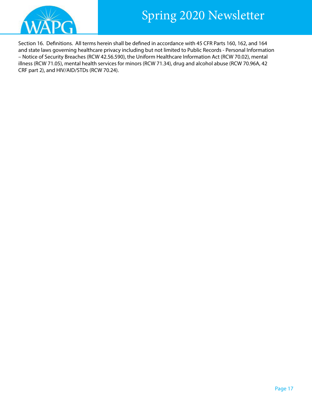



Section 16. Definitions. All terms herein shall be defined in accordance with 45 CFR Parts 160, 162, and 164 and state laws governing healthcare privacy including but not limited to Public Records - Personal Information – Notice of Security Breaches (RCW 42.56.590), the Uniform Healthcare Information Act (RCW 70.02), mental illness (RCW 71.05), mental health services for minors (RCW 71.34), drug and alcohol abuse (RCW 70.96A, 42 CRF part 2), and HIV/AID/STDs (RCW 70.24).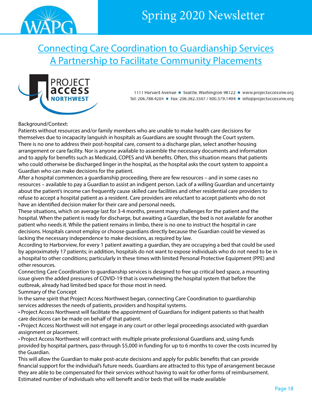<span id="page-17-0"></span>

Connecting Care Coordination to Guardianship Services A Partnership to Facilitate Community Placements



1111 Harvard Avenue ■ Seattle, Washington 98122 ■ www.projectaccessnw.org Tel: 206.788.4204 = Fax: 206.382.3507 / 800.579.1494 = info@projectaccessnw.org

#### Background/Context:

Patients without resources and/or family members who are unable to make health care decisions for themselves due to incapacity languish in hospitals as Guardians are sought through the Court system. There is no one to address their post-hospital care, consent to a discharge plan, select another housing arrangement or care facility. Nor is anyone available to assemble the necessary documents and information and to apply for benefits such as Medicaid, COPES and VA benefits. Often, this situation means that patients who could otherwise be discharged linger in the hospital, as the hospital asks the court system to appoint a Guardian who can make decisions for the patient.

After a hospital commences a guardianship proceeding, there are few resources – and in some cases no resources – available to pay a Guardian to assist an indigent person. Lack of a willing Guardian and uncertainty about the patient's income can frequently cause skilled care facilities and other residential care providers to refuse to accept a hospital patient as a resident. Care providers are reluctant to accept patients who do not have an identified decision maker for their care and personal needs.

These situations, which on average last for 3-4 months, present many challenges for the patient and the hospital. When the patient is ready for discharge, but awaiting a Guardian, the bed is not available for another patient who needs it. While the patient remains in limbo, there is no one to instruct the hospital in care decisions. Hospitals cannot employ or choose guardians directly because the Guardian could be viewed as lacking the necessary independence to make decisions, as required by law.

According to Harborview, for every 1 patient awaiting a guardian, they are occupying a bed that could be used by approximately 17 patients; in addition, hospitals do not want to expose individuals who do not need to be in a hospital to other conditions; particularly in these times with limited Personal Protective Equipment (PPE) and other resources.

Connecting Care Coordination to guardianship services is designed to free up critical bed space, a mounting issue given the added pressures of COVID-19 that is overwhelming the hospital system that before the outbreak, already had limited bed space for those most in need.

Summary of the Concept

In the same spirit that Project Access Northwest began, connecting Care Coordination to guardianship services addresses the needs of patients, providers and hospital systems.

• Project Access Northwest will facilitate the appointment of Guardians for indigent patients so that health care decisions can be made on behalf of that patient.

• Project Access Northwest will not engage in any court or other legal proceedings associated with guardian assignment or placement.

• Project Access Northwest will contract with multiple private professional Guardians and, using funds provided by hospital partners, pass-through \$5,000 in funding for up to 6 months to cover the costs incurred by the Guardian.

This will allow the Guardian to make post-acute decisions and apply for public benefits that can provide financial support for the individual's future needs. Guardians are attracted to this type of arrangement because they are able to be compensated for their services without having to wait for other forms of reimbursement. Estimated number of individuals who will benefit and/or beds that will be made available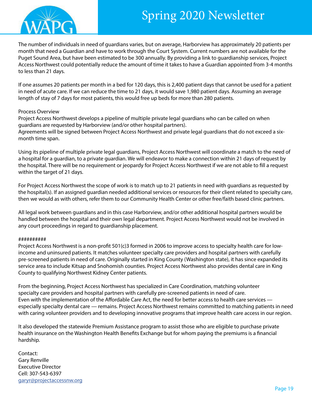

The number of individuals in need of guardians varies, but on average, Harborview has approximately 20 patients per month that need a Guardian and have to work through the Court System. Current numbers are not available for the Puget Sound Area, but have been estimated to be 300 annually. By providing a link to guardianship services, Project Access Northwest could potentially reduce the amount of time it takes to have a Guardian appointed from 3-4 months to less than 21 days.

If one assumes 20 patients per month in a bed for 120 days, this is 2,400 patient days that cannot be used for a patient in need of acute care. If we can reduce the time to 21 days, it would save 1,980 patient days. Assuming an average length of stay of 7 days for most patients, this would free up beds for more than 280 patients.

#### Process Overview

Project Access Northwest develops a pipeline of multiple private legal guardians who can be called on when guardians are requested by Harborview (and/or other hospital partners).

Agreements will be signed between Project Access Northwest and private legal guardians that do not exceed a sixmonth time span.

Using its pipeline of multiple private legal guardians, Project Access Northwest will coordinate a match to the need of a hospital for a guardian, to a private guardian. We will endeavor to make a connection within 21 days of request by the hospital. There will be no requirement or jeopardy for Project Access Northwest if we are not able to fill a request within the target of 21 days.

For Project Access Northwest the scope of work is to match up to 21 patients in need with guardians as requested by the hospital(s). If an assigned guardian needed additional services or resources for their client related to specialty care, then we would as with others, refer them to our Community Health Center or other free/faith based clinic partners.

All legal work between guardians and in this case Harborview, and/or other additional hospital partners would be handled between the hospital and their own legal department. Project Access Northwest would not be involved in any court proceedings in regard to guardianship placement.

#### ##########

Project Access Northwest is a non-profit 501(c)3 formed in 2006 to improve access to specialty health care for lowincome and uninsured patients. It matches volunteer specialty care providers and hospital partners with carefully pre-screened patients in need of care. Originally started in King County (Washington state), it has since expanded its service area to include Kitsap and Snohomish counties. Project Access Northwest also provides dental care in King County to qualifying Northwest Kidney Center patients.

From the beginning, Project Access Northwest has specialized in Care Coordination, matching volunteer specialty care providers and hospital partners with carefully pre-screened patients in need of care. Even with the implementation of the Affordable Care Act, the need for better access to health care services especially specialty dental care — remains. Project Access Northwest remains committed to matching patients in need with caring volunteer providers and to developing innovative programs that improve health care access in our region.

It also developed the statewide Premium Assistance program to assist those who are eligible to purchase private health insurance on the Washington Health Benefits Exchange but for whom paying the premiums is a financial hardship.

Contact: Gary Renville Executive Director Cell: 307-543-6397 <garyr@projectaccessnw.org>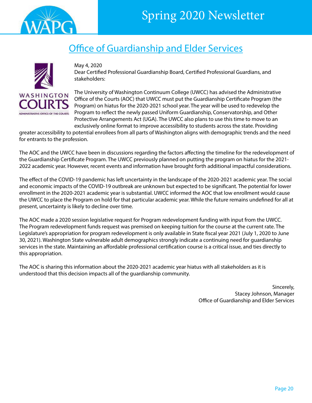

<span id="page-19-0"></span>

### Office of Guardianship and Elder Services



May 4, 2020 Dear Certified Professional Guardianship Board, Certified Professional Guardians, and stakeholders:

The University of Washington Continuum College (UWCC) has advised the Administrative Office of the Courts (AOC) that UWCC must put the Guardianship Certificate Program (the Program) on hiatus for the 2020-2021 school year. The year will be used to redevelop the Program to reflect the newly passed Uniform Guardianship, Conservatorship, and Other Protective Arrangements Act (UGA). The UWCC also plans to use this time to move to an exclusively online format to improve accessibility to students across the state. Providing

greater accessibility to potential enrollees from all parts of Washington aligns with demographic trends and the need for entrants to the profession.

The AOC and the UWCC have been in discussions regarding the factors affecting the timeline for the redevelopment of the Guardianship Certificate Program. The UWCC previously planned on putting the program on hiatus for the 2021- 2022 academic year. However, recent events and information have brought forth additional impactful considerations.

The effect of the COVID-19 pandemic has left uncertainty in the landscape of the 2020-2021 academic year. The social and economic impacts of the COVID-19 outbreak are unknown but expected to be significant. The potential for lower enrollment in the 2020-2021 academic year is substantial. UWCC informed the AOC that low enrollment would cause the UWCC to place the Program on hold for that particular academic year. While the future remains undefined for all at present, uncertainty is likely to decline over time.

The AOC made a 2020 session legislative request for Program redevelopment funding with input from the UWCC. The Program redevelopment funds request was premised on keeping tuition for the course at the current rate. The Legislature's appropriation for program redevelopment is only available in State fiscal year 2021 (July 1, 2020 to June 30, 2021). Washington State vulnerable adult demographics strongly indicate a continuing need for guardianship services in the state. Maintaining an affordable professional certification course is a critical issue, and ties directly to this appropriation.

The AOC is sharing this information about the 2020-2021 academic year hiatus with all stakeholders as it is understood that this decision impacts all of the guardianship community.

> Sincerely, Stacey Johnson, Manager Office of Guardianship and Elder Services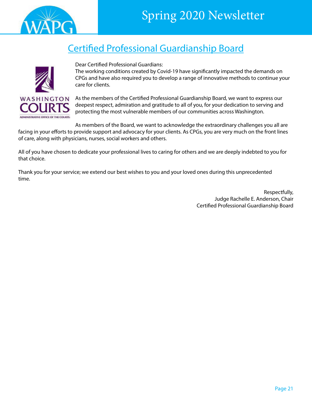<span id="page-20-0"></span>

### Certified Professional Guardianship Board



Dear Certified Professional Guardians:

The working conditions created by Covid-19 have significantly impacted the demands on CPGs and have also required you to develop a range of innovative methods to continue your care for clients.

As the members of the Certified Professional Guardianship Board, we want to express our deepest respect, admiration and gratitude to all of you, for your dedication to serving and protecting the most vulnerable members of our communities across Washington.

As members of the Board, we want to acknowledge the extraordinary challenges you all are facing in your efforts to provide support and advocacy for your clients. As CPGs, you are very much on the front lines of care, along with physicians, nurses, social workers and others.

All of you have chosen to dedicate your professional lives to caring for others and we are deeply indebted to you for that choice.

Thank you for your service; we extend our best wishes to you and your loved ones during this unprecedented time.

> Respectfully, Judge Rachelle E. Anderson, Chair Certified Professional Guardianship Board